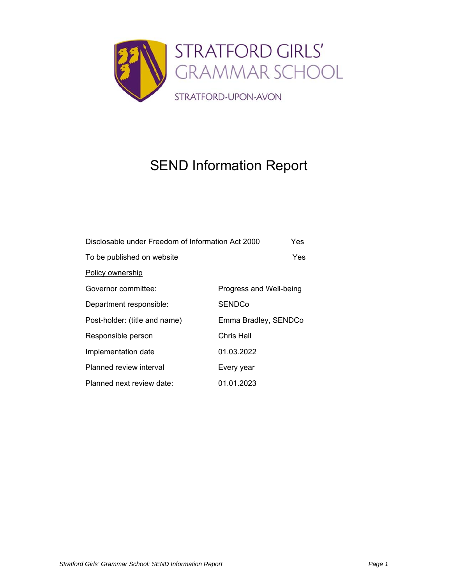

# SEND Information Report

| Disclosable under Freedom of Information Act 2000 | Yes                     |
|---------------------------------------------------|-------------------------|
| To be published on website                        | Yes                     |
| <b>Policy ownership</b>                           |                         |
| Governor committee:                               | Progress and Well-being |
| Department responsible:                           | SENDCo                  |
| Post-holder: (title and name)                     | Emma Bradley, SENDCo    |
| Responsible person                                | Chris Hall              |
| Implementation date                               | 01.03.2022              |
| Planned review interval                           | Every year              |
| Planned next review date:                         | 01.01.2023              |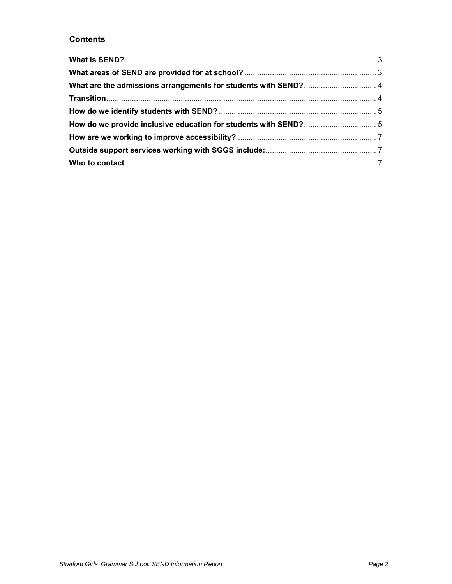# **Contents**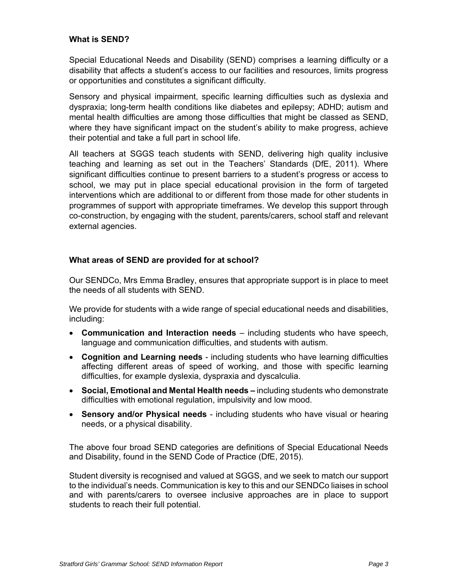### **What is SEND?**

Special Educational Needs and Disability (SEND) comprises a learning difficulty or a disability that affects a student's access to our facilities and resources, limits progress or opportunities and constitutes a significant difficulty.

Sensory and physical impairment, specific learning difficulties such as dyslexia and dyspraxia; long-term health conditions like diabetes and epilepsy; ADHD; autism and mental health difficulties are among those difficulties that might be classed as SEND, where they have significant impact on the student's ability to make progress, achieve their potential and take a full part in school life.

All teachers at SGGS teach students with SEND, delivering high quality inclusive teaching and learning as set out in the Teachers' Standards (DfE, 2011). Where significant difficulties continue to present barriers to a student's progress or access to school, we may put in place special educational provision in the form of targeted interventions which are additional to or different from those made for other students in programmes of support with appropriate timeframes. We develop this support through co-construction, by engaging with the student, parents/carers, school staff and relevant external agencies.

#### **What areas of SEND are provided for at school?**

Our SENDCo, Mrs Emma Bradley, ensures that appropriate support is in place to meet the needs of all students with SEND.

We provide for students with a wide range of special educational needs and disabilities, including:

- **Communication and Interaction needs** including students who have speech, language and communication difficulties, and students with autism.
- **Cognition and Learning needs** including students who have learning difficulties affecting different areas of speed of working, and those with specific learning difficulties, for example dyslexia, dyspraxia and dyscalculia.
- **Social, Emotional and Mental Health needs** including students who demonstrate difficulties with emotional regulation, impulsivity and low mood.
- **Sensory and/or Physical needs** including students who have visual or hearing needs, or a physical disability.

The above four broad SEND categories are definitions of Special Educational Needs and Disability, found in the SEND Code of Practice (DfE, 2015).

Student diversity is recognised and valued at SGGS, and we seek to match our support to the individual's needs. Communication is key to this and our SENDCo liaises in school and with parents/carers to oversee inclusive approaches are in place to support students to reach their full potential.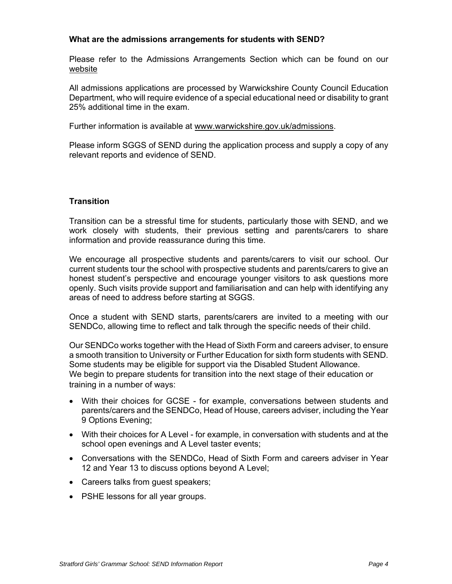#### **What are the admissions arrangements for students with SEND?**

Please refer to the Admissions Arrangements Section which can be found on our website

All admissions applications are processed by Warwickshire County Council Education Department, who will require evidence of a special educational need or disability to grant 25% additional time in the exam.

Further information is available at www.warwickshire.gov.uk/admissions.

Please inform SGGS of SEND during the application process and supply a copy of any relevant reports and evidence of SEND.

# **Transition**

Transition can be a stressful time for students, particularly those with SEND, and we work closely with students, their previous setting and parents/carers to share information and provide reassurance during this time.

We encourage all prospective students and parents/carers to visit our school. Our current students tour the school with prospective students and parents/carers to give an honest student's perspective and encourage younger visitors to ask questions more openly. Such visits provide support and familiarisation and can help with identifying any areas of need to address before starting at SGGS.

Once a student with SEND starts, parents/carers are invited to a meeting with our SENDCo, allowing time to reflect and talk through the specific needs of their child.

Our SENDCo works together with the Head of Sixth Form and careers adviser, to ensure a smooth transition to University or Further Education for sixth form students with SEND. Some students may be eligible for support via the Disabled Student Allowance. We begin to prepare students for transition into the next stage of their education or training in a number of ways:

- With their choices for GCSE for example, conversations between students and parents/carers and the SENDCo, Head of House, careers adviser, including the Year 9 Options Evening;
- With their choices for A Level for example, in conversation with students and at the school open evenings and A Level taster events;
- Conversations with the SENDCo, Head of Sixth Form and careers adviser in Year 12 and Year 13 to discuss options beyond A Level;
- Careers talks from guest speakers;
- PSHE lessons for all year groups.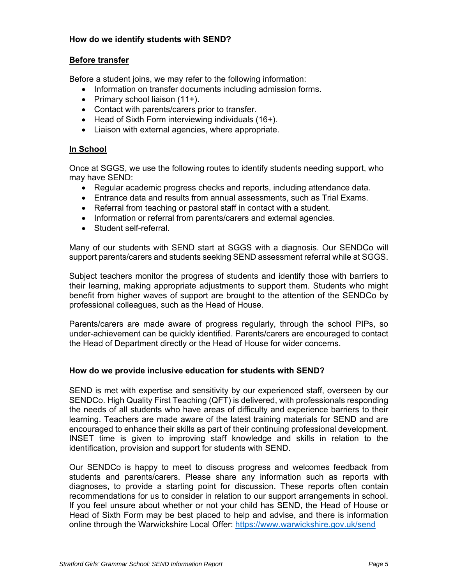## **How do we identify students with SEND?**

#### **Before transfer**

Before a student joins, we may refer to the following information:

- Information on transfer documents including admission forms.
- Primary school liaison  $(11+)$ .
- Contact with parents/carers prior to transfer.
- $\bullet$  Head of Sixth Form interviewing individuals (16+).
- Liaison with external agencies, where appropriate.

## **In School**

Once at SGGS, we use the following routes to identify students needing support, who may have SEND:

- Regular academic progress checks and reports, including attendance data.
- Entrance data and results from annual assessments, such as Trial Exams.
- Referral from teaching or pastoral staff in contact with a student.
- Information or referral from parents/carers and external agencies.
- Student self-referral.

Many of our students with SEND start at SGGS with a diagnosis. Our SENDCo will support parents/carers and students seeking SEND assessment referral while at SGGS.

Subject teachers monitor the progress of students and identify those with barriers to their learning, making appropriate adjustments to support them. Students who might benefit from higher waves of support are brought to the attention of the SENDCo by professional colleagues, such as the Head of House.

Parents/carers are made aware of progress regularly, through the school PIPs, so under-achievement can be quickly identified. Parents/carers are encouraged to contact the Head of Department directly or the Head of House for wider concerns.

#### **How do we provide inclusive education for students with SEND?**

SEND is met with expertise and sensitivity by our experienced staff, overseen by our SENDCo. High Quality First Teaching (QFT) is delivered, with professionals responding the needs of all students who have areas of difficulty and experience barriers to their learning. Teachers are made aware of the latest training materials for SEND and are encouraged to enhance their skills as part of their continuing professional development. INSET time is given to improving staff knowledge and skills in relation to the identification, provision and support for students with SEND.

Our SENDCo is happy to meet to discuss progress and welcomes feedback from students and parents/carers. Please share any information such as reports with diagnoses, to provide a starting point for discussion. These reports often contain recommendations for us to consider in relation to our support arrangements in school. If you feel unsure about whether or not your child has SEND, the Head of House or Head of Sixth Form may be best placed to help and advise, and there is information online through the Warwickshire Local Offer: https://www.warwickshire.gov.uk/send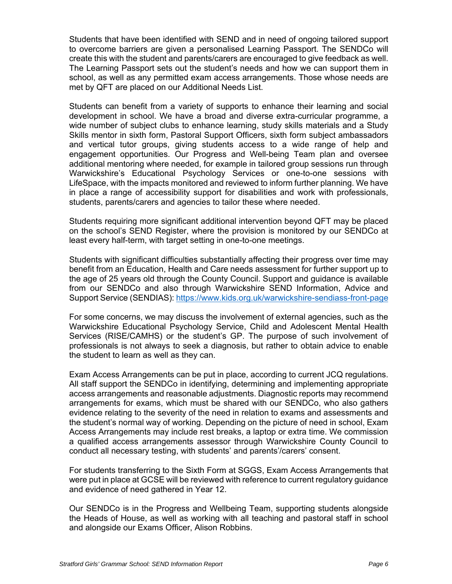Students that have been identified with SEND and in need of ongoing tailored support to overcome barriers are given a personalised Learning Passport. The SENDCo will create this with the student and parents/carers are encouraged to give feedback as well. The Learning Passport sets out the student's needs and how we can support them in school, as well as any permitted exam access arrangements. Those whose needs are met by QFT are placed on our Additional Needs List.

Students can benefit from a variety of supports to enhance their learning and social development in school. We have a broad and diverse extra-curricular programme, a wide number of subject clubs to enhance learning, study skills materials and a Study Skills mentor in sixth form, Pastoral Support Officers, sixth form subject ambassadors and vertical tutor groups, giving students access to a wide range of help and engagement opportunities. Our Progress and Well-being Team plan and oversee additional mentoring where needed, for example in tailored group sessions run through Warwickshire's Educational Psychology Services or one-to-one sessions with LifeSpace, with the impacts monitored and reviewed to inform further planning. We have in place a range of accessibility support for disabilities and work with professionals, students, parents/carers and agencies to tailor these where needed.

Students requiring more significant additional intervention beyond QFT may be placed on the school's SEND Register, where the provision is monitored by our SENDCo at least every half-term, with target setting in one-to-one meetings.

Students with significant difficulties substantially affecting their progress over time may benefit from an Education, Health and Care needs assessment for further support up to the age of 25 years old through the County Council. Support and guidance is available from our SENDCo and also through Warwickshire SEND Information, Advice and Support Service (SENDIAS): https://www.kids.org.uk/warwickshire-sendiass-front-page

For some concerns, we may discuss the involvement of external agencies, such as the Warwickshire Educational Psychology Service, Child and Adolescent Mental Health Services (RISE/CAMHS) or the student's GP. The purpose of such involvement of professionals is not always to seek a diagnosis, but rather to obtain advice to enable the student to learn as well as they can.

Exam Access Arrangements can be put in place, according to current JCQ regulations. All staff support the SENDCo in identifying, determining and implementing appropriate access arrangements and reasonable adjustments. Diagnostic reports may recommend arrangements for exams, which must be shared with our SENDCo, who also gathers evidence relating to the severity of the need in relation to exams and assessments and the student's normal way of working. Depending on the picture of need in school, Exam Access Arrangements may include rest breaks, a laptop or extra time. We commission a qualified access arrangements assessor through Warwickshire County Council to conduct all necessary testing, with students' and parents'/carers' consent.

For students transferring to the Sixth Form at SGGS, Exam Access Arrangements that were put in place at GCSE will be reviewed with reference to current regulatory guidance and evidence of need gathered in Year 12.

Our SENDCo is in the Progress and Wellbeing Team, supporting students alongside the Heads of House, as well as working with all teaching and pastoral staff in school and alongside our Exams Officer, Alison Robbins.